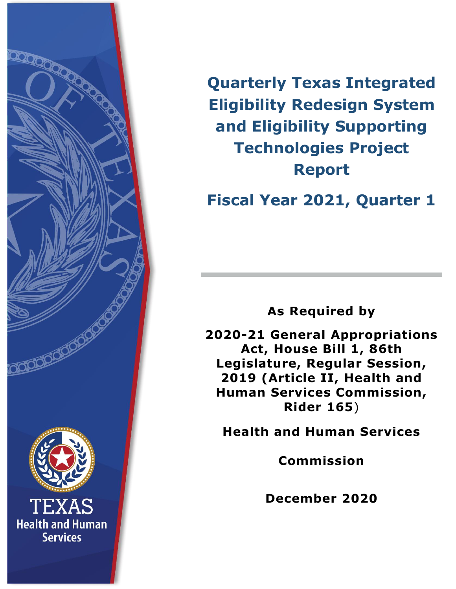

**Quarterly Texas Integrated Eligibility Redesign System and Eligibility Supporting Technologies Project Report**

**Fiscal Year 2021, Quarter 1**

**As Required by** 

**2020-21 General Appropriations Act, House Bill 1, 86th Legislature, Regular Session, 2019 (Article II, Health and Human Services Commission, Rider 165**)

**Health and Human Services**

**Commission**

**December 2020**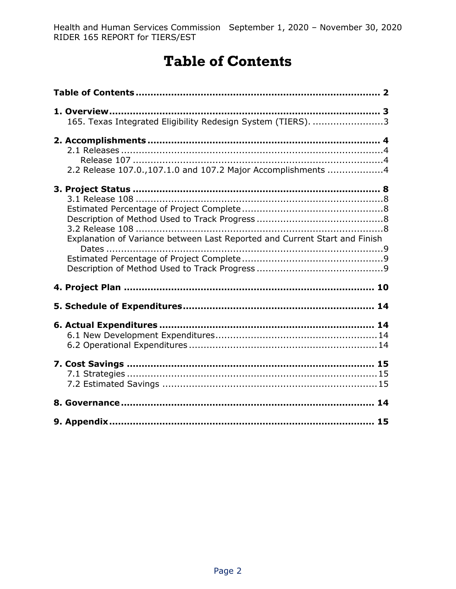# **Table of Contents**

<span id="page-1-0"></span>

| 165. Texas Integrated Eligibility Redesign System (TIERS). 3               |  |
|----------------------------------------------------------------------------|--|
| 2.2 Release 107.0.,107.1.0 and 107.2 Major Accomplishments 4               |  |
| Explanation of Variance between Last Reported and Current Start and Finish |  |
|                                                                            |  |
|                                                                            |  |
|                                                                            |  |
|                                                                            |  |
|                                                                            |  |
|                                                                            |  |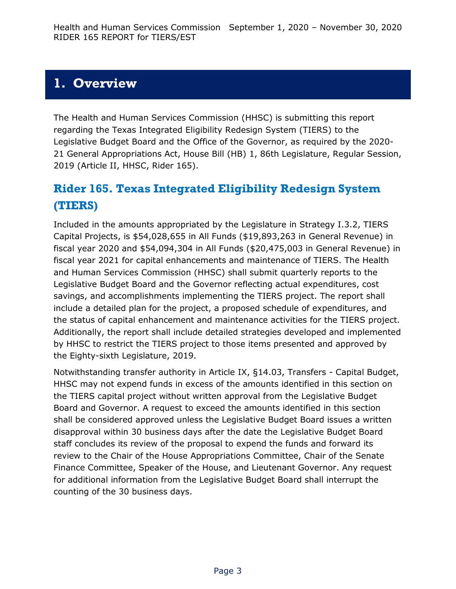### <span id="page-2-0"></span>**1. Overview**

The Health and Human Services Commission (HHSC) is submitting this report regarding the Texas Integrated Eligibility Redesign System (TIERS) to the Legislative Budget Board and the Office of the Governor, as required by the 2020- 21 General Appropriations Act, House Bill (HB) 1, 86th Legislature, Regular Session, 2019 (Article II, HHSC, Rider 165).

### <span id="page-2-1"></span>**Rider 165. Texas Integrated Eligibility Redesign System (TIERS)**

Included in the amounts appropriated by the Legislature in Strategy I.3.2, TIERS Capital Projects, is \$54,028,655 in All Funds (\$19,893,263 in General Revenue) in fiscal year 2020 and \$54,094,304 in All Funds (\$20,475,003 in General Revenue) in fiscal year 2021 for capital enhancements and maintenance of TIERS. The Health and Human Services Commission (HHSC) shall submit quarterly reports to the Legislative Budget Board and the Governor reflecting actual expenditures, cost savings, and accomplishments implementing the TIERS project. The report shall include a detailed plan for the project, a proposed schedule of expenditures, and the status of capital enhancement and maintenance activities for the TIERS project. Additionally, the report shall include detailed strategies developed and implemented by HHSC to restrict the TIERS project to those items presented and approved by the Eighty-sixth Legislature, 2019.

Notwithstanding transfer authority in Article IX, §14.03, Transfers - Capital Budget, HHSC may not expend funds in excess of the amounts identified in this section on the TIERS capital project without written approval from the Legislative Budget Board and Governor. A request to exceed the amounts identified in this section shall be considered approved unless the Legislative Budget Board issues a written disapproval within 30 business days after the date the Legislative Budget Board staff concludes its review of the proposal to expend the funds and forward its review to the Chair of the House Appropriations Committee, Chair of the Senate Finance Committee, Speaker of the House, and Lieutenant Governor. Any request for additional information from the Legislative Budget Board shall interrupt the counting of the 30 business days.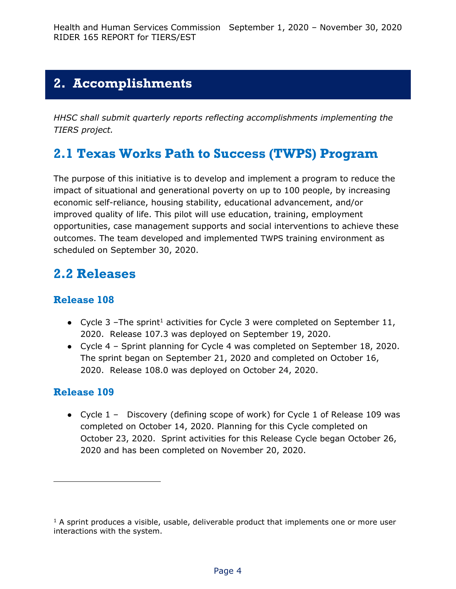### <span id="page-3-0"></span>**2. Accomplishments**

*HHSC shall submit quarterly reports reflecting accomplishments implementing the TIERS project.*

### **2.1 Texas Works Path to Success (TWPS) Program**

The purpose of this initiative is to develop and implement a program to reduce the impact of situational and generational poverty on up to 100 people, by increasing economic self-reliance, housing stability, educational advancement, and/or improved quality of life. This pilot will use education, training, employment opportunities, case management supports and social interventions to achieve these outcomes. The team developed and implemented TWPS training environment as scheduled on September 30, 2020.

### <span id="page-3-1"></span>**2.2 Releases**

#### <span id="page-3-2"></span>**Release 108**

- Cycle 3 –The sprint<sup>1</sup> activities for Cycle 3 were completed on September 11, 2020. Release 107.3 was deployed on September 19, 2020.
- Cycle 4 Sprint planning for Cycle 4 was completed on September 18, 2020. The sprint began on September 21, 2020 and completed on October 16, 2020. Release 108.0 was deployed on October 24, 2020.

#### **Release 109**

j

● Cycle 1 – Discovery (defining scope of work) for Cycle 1 of Release 109 was completed on October 14, 2020. Planning for this Cycle completed on October 23, 2020. Sprint activities for this Release Cycle began October 26, 2020 and has been completed on November 20, 2020.

 $1$  A sprint produces a visible, usable, deliverable product that implements one or more user interactions with the system.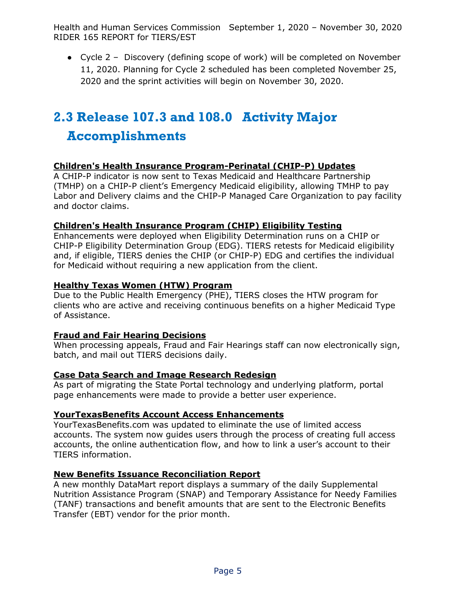● Cycle 2 – Discovery (defining scope of work) will be completed on November 11, 2020. Planning for Cycle 2 scheduled has been completed November 25, 2020 and the sprint activities will begin on November 30, 2020.

# **2.3 Release 107.3 and 108.0 Activity Major**

#### **Accomplishments**

#### **Children's Health Insurance Program-Perinatal (CHIP-P) Updates**

A CHIP-P indicator is now sent to Texas Medicaid and Healthcare Partnership (TMHP) on a CHIP-P client's Emergency Medicaid eligibility, allowing TMHP to pay Labor and Delivery claims and the CHIP-P Managed Care Organization to pay facility and doctor claims.

#### **Children's Health Insurance Program (CHIP) Eligibility Testing**

Enhancements were deployed when Eligibility Determination runs on a CHIP or CHIP-P Eligibility Determination Group (EDG). TIERS retests for Medicaid eligibility and, if eligible, TIERS denies the CHIP (or CHIP-P) EDG and certifies the individual for Medicaid without requiring a new application from the client.

#### **Healthy Texas Women (HTW) Program**

Due to the Public Health Emergency (PHE), TIERS closes the HTW program for clients who are active and receiving continuous benefits on a higher Medicaid Type of Assistance.

#### **Fraud and Fair Hearing Decisions**

When processing appeals, Fraud and Fair Hearings staff can now electronically sign, batch, and mail out TIERS decisions daily.

#### **Case Data Search and Image Research Redesign**

As part of migrating the State Portal technology and underlying platform, portal page enhancements were made to provide a better user experience.

#### **YourTexasBenefits Account Access Enhancements**

YourTexasBenefits.com was updated to eliminate the use of limited access accounts. The system now guides users through the process of creating full access accounts, the online authentication flow, and how to link a user's account to their TIERS information.

#### **New Benefits Issuance Reconciliation Report**

A new monthly DataMart report displays a summary of the daily Supplemental Nutrition Assistance Program (SNAP) and Temporary Assistance for Needy Families (TANF) transactions and benefit amounts that are sent to the Electronic Benefits Transfer (EBT) vendor for the prior month.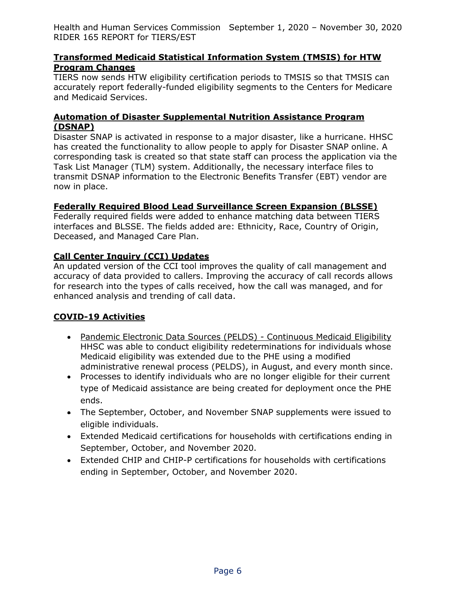#### **Transformed Medicaid Statistical Information System (TMSIS) for HTW Program Changes**

TIERS now sends HTW eligibility certification periods to TMSIS so that TMSIS can accurately report federally-funded eligibility segments to the Centers for Medicare and Medicaid Services.

#### **Automation of Disaster Supplemental Nutrition Assistance Program (DSNAP)**

Disaster SNAP is activated in response to a major disaster, like a hurricane. HHSC has created the functionality to allow people to apply for Disaster SNAP online. A corresponding task is created so that state staff can process the application via the Task List Manager (TLM) system. Additionally, the necessary interface files to transmit DSNAP information to the Electronic Benefits Transfer (EBT) vendor are now in place.

#### **Federally Required Blood Lead Surveillance Screen Expansion (BLSSE)**

Federally required fields were added to enhance matching data between TIERS interfaces and BLSSE. The fields added are: Ethnicity, Race, Country of Origin, Deceased, and Managed Care Plan.

#### **Call Center Inquiry (CCI) Updates**

An updated version of the CCI tool improves the quality of call management and accuracy of data provided to callers. Improving the accuracy of call records allows for research into the types of calls received, how the call was managed, and for enhanced analysis and trending of call data.

#### **COVID-19 Activities**

- Pandemic Electronic Data Sources (PELDS) Continuous Medicaid Eligibility HHSC was able to conduct eligibility redeterminations for individuals whose Medicaid eligibility was extended due to the PHE using a modified administrative renewal process (PELDS), in August, and every month since.
- Processes to identify individuals who are no longer eligible for their current type of Medicaid assistance are being created for deployment once the PHE ends.
- The September, October, and November SNAP supplements were issued to eligible individuals.
- Extended Medicaid certifications for households with certifications ending in September, October, and November 2020.
- Extended CHIP and CHIP-P certifications for households with certifications ending in September, October, and November 2020.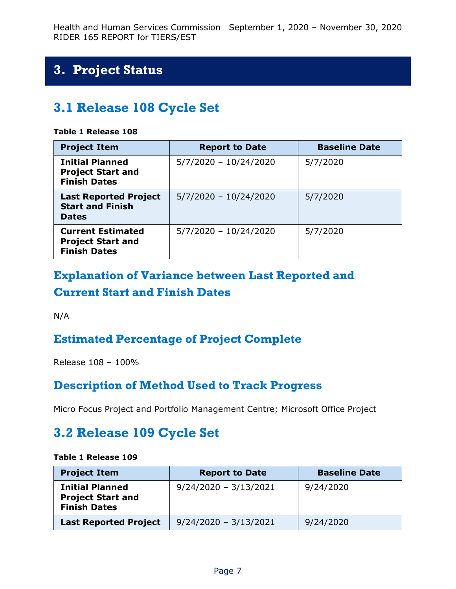## <span id="page-6-0"></span>**3. Project Status**

### <span id="page-6-1"></span>**3.1 Release 108 Cycle Set**

#### **Table 1 Release 108**

| <b>Project Item</b>                                                         | <b>Report to Date</b>   | <b>Baseline Date</b> |
|-----------------------------------------------------------------------------|-------------------------|----------------------|
| <b>Initial Planned</b><br><b>Project Start and</b><br><b>Finish Dates</b>   | $5/7/2020 - 10/24/2020$ | 5/7/2020             |
| <b>Last Reported Project</b><br><b>Start and Finish</b><br><b>Dates</b>     | $5/7/2020 - 10/24/2020$ | 5/7/2020             |
| <b>Current Estimated</b><br><b>Project Start and</b><br><b>Finish Dates</b> | $5/7/2020 - 10/24/2020$ | 5/7/2020             |

### **Explanation of Variance between Last Reported and Current Start and Finish Dates**

N/A

### **Estimated Percentage of Project Complete**

Release 108 – 100%

#### **Description of Method Used to Track Progress**

Micro Focus Project and Portfolio Management Centre; Microsoft Office Project

### **3.2 Release 109 Cycle Set**

#### **Table 1 Release 109**

| <b>Project Item</b>                                                       | <b>Report to Date</b>   | <b>Baseline Date</b> |
|---------------------------------------------------------------------------|-------------------------|----------------------|
| <b>Initial Planned</b><br><b>Project Start and</b><br><b>Finish Dates</b> | $9/24/2020 - 3/13/2021$ | 9/24/2020            |
| <b>Last Reported Project</b>                                              | $9/24/2020 - 3/13/2021$ | 9/24/2020            |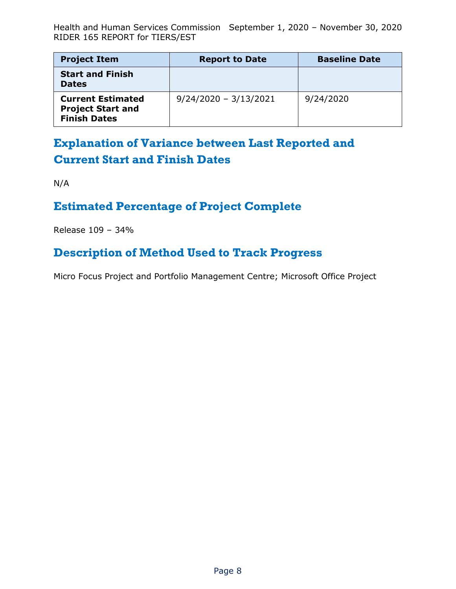| <b>Project Item</b>                                                         | <b>Report to Date</b>   | <b>Baseline Date</b> |
|-----------------------------------------------------------------------------|-------------------------|----------------------|
| <b>Start and Finish</b><br><b>Dates</b>                                     |                         |                      |
| <b>Current Estimated</b><br><b>Project Start and</b><br><b>Finish Dates</b> | $9/24/2020 - 3/13/2021$ | 9/24/2020            |

### **Explanation of Variance between Last Reported and Current Start and Finish Dates**

N/A

#### **Estimated Percentage of Project Complete**

Release 109 – 34%

#### **Description of Method Used to Track Progress**

Micro Focus Project and Portfolio Management Centre; Microsoft Office Project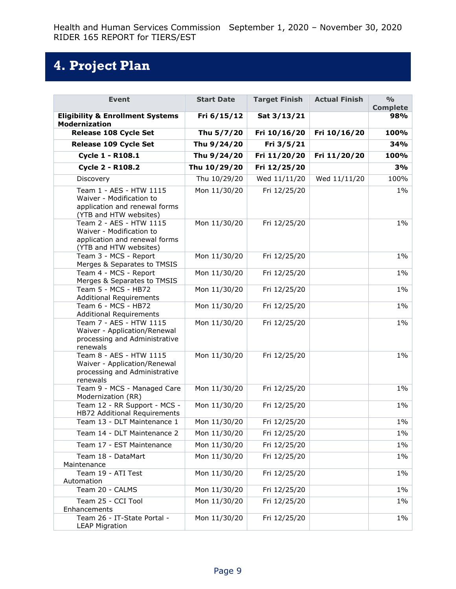# **4. Project Plan**

| <b>Event</b>                                                                                                   | <b>Start Date</b> | <b>Target Finish</b> | <b>Actual Finish</b> | $\frac{O}{O}$<br><b>Complete</b> |
|----------------------------------------------------------------------------------------------------------------|-------------------|----------------------|----------------------|----------------------------------|
| <b>Eligibility &amp; Enrollment Systems</b><br><b>Modernization</b>                                            | Fri 6/15/12       | Sat 3/13/21          |                      | 98%                              |
| Release 108 Cycle Set                                                                                          | Thu 5/7/20        | Fri 10/16/20         | Fri 10/16/20         | 100%                             |
| Release 109 Cycle Set                                                                                          | Thu 9/24/20       | Fri 3/5/21           |                      | 34%                              |
| Cycle 1 - R108.1                                                                                               | Thu 9/24/20       | Fri 11/20/20         | Fri 11/20/20         | 100%                             |
| <b>Cycle 2 - R108.2</b>                                                                                        | Thu 10/29/20      | Fri 12/25/20         |                      | 3%                               |
| Discovery                                                                                                      | Thu 10/29/20      | Wed 11/11/20         | Wed 11/11/20         | 100%                             |
| Team 1 - AES - HTW 1115<br>Waiver - Modification to<br>application and renewal forms<br>(YTB and HTW websites) | Mon 11/30/20      | Fri 12/25/20         |                      | $1\%$                            |
| Team 2 - AES - HTW 1115<br>Waiver - Modification to<br>application and renewal forms<br>(YTB and HTW websites) | Mon 11/30/20      | Fri 12/25/20         |                      | $1\%$                            |
| Team 3 - MCS - Report<br>Merges & Separates to TMSIS                                                           | Mon 11/30/20      | Fri 12/25/20         |                      | $1\%$                            |
| Team 4 - MCS - Report<br>Merges & Separates to TMSIS                                                           | Mon 11/30/20      | Fri 12/25/20         |                      | $1\%$                            |
| Team 5 - MCS - HB72<br><b>Additional Requirements</b>                                                          | Mon 11/30/20      | Fri 12/25/20         |                      | $1\%$                            |
| Team 6 - MCS - HB72<br><b>Additional Requirements</b>                                                          | Mon 11/30/20      | Fri 12/25/20         |                      | $1\%$                            |
| Team 7 - AES - HTW 1115<br>Waiver - Application/Renewal<br>processing and Administrative<br>renewals           | Mon 11/30/20      | Fri 12/25/20         |                      | $1\%$                            |
| Team 8 - AES - HTW 1115<br>Waiver - Application/Renewal<br>processing and Administrative<br>renewals           | Mon 11/30/20      | Fri 12/25/20         |                      | $1\%$                            |
| Team 9 - MCS - Managed Care<br>Modernization (RR)                                                              | Mon 11/30/20      | Fri 12/25/20         |                      | $1\%$                            |
| Team 12 - RR Support - MCS -<br>HB72 Additional Requirements                                                   | Mon 11/30/20      | Fri 12/25/20         |                      | $1\%$                            |
| Team 13 - DLT Maintenance 1                                                                                    | Mon 11/30/20      | Fri 12/25/20         |                      | $1\%$                            |
| Team 14 - DLT Maintenance 2                                                                                    | Mon 11/30/20      | Fri 12/25/20         |                      | $1\%$                            |
| Team 17 - EST Maintenance                                                                                      | Mon 11/30/20      | Fri 12/25/20         |                      | $1\%$                            |
| Team 18 - DataMart<br>Maintenance                                                                              | Mon 11/30/20      | Fri 12/25/20         |                      | $1\%$                            |
| Team 19 - ATI Test<br>Automation                                                                               | Mon 11/30/20      | Fri 12/25/20         |                      | $1\%$                            |
| Team 20 - CALMS                                                                                                | Mon 11/30/20      | Fri 12/25/20         |                      | $1\%$                            |
| Team 25 - CCI Tool<br>Enhancements                                                                             | Mon 11/30/20      | Fri 12/25/20         |                      | $1\%$                            |
| Team 26 - IT-State Portal -<br><b>LEAP Migration</b>                                                           | Mon 11/30/20      | Fri 12/25/20         |                      | $1\%$                            |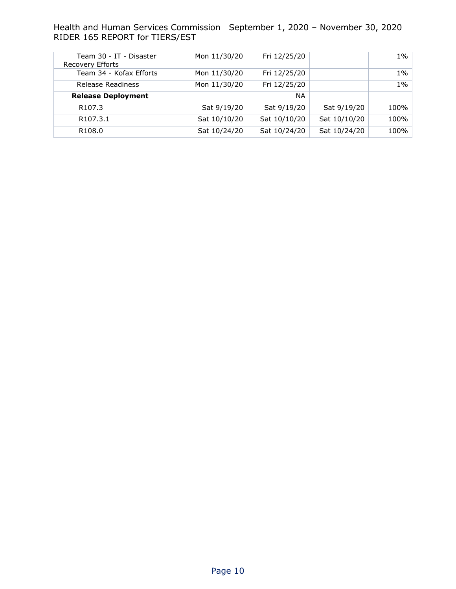| Team 30 - IT - Disaster<br>Recovery Efforts | Mon 11/30/20 | Fri 12/25/20 |              | $1\%$ |
|---------------------------------------------|--------------|--------------|--------------|-------|
| Team 34 - Kofax Efforts                     | Mon 11/30/20 | Fri 12/25/20 |              | 1%    |
| Release Readiness                           | Mon 11/30/20 | Fri 12/25/20 |              | $1\%$ |
| <b>Release Deployment</b>                   |              | NA.          |              |       |
| R <sub>107.3</sub>                          | Sat 9/19/20  | Sat 9/19/20  | Sat 9/19/20  | 100%  |
| R <sub>107.3.1</sub>                        | Sat 10/10/20 | Sat 10/10/20 | Sat 10/10/20 | 100%  |
| R <sub>108.0</sub>                          | Sat 10/24/20 | Sat 10/24/20 | Sat 10/24/20 | 100%  |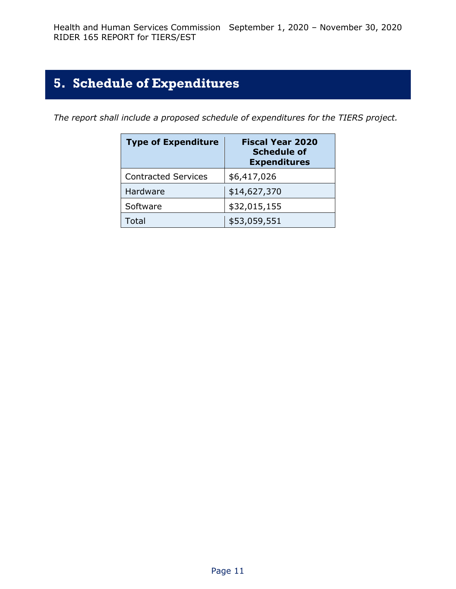### <span id="page-10-0"></span>**5. Schedule of Expenditures**

*The report shall include a proposed schedule of expenditures for the TIERS project.*

| <b>Type of Expenditure</b> | <b>Fiscal Year 2020</b><br><b>Schedule of</b><br><b>Expenditures</b> |
|----------------------------|----------------------------------------------------------------------|
| <b>Contracted Services</b> | \$6,417,026                                                          |
| Hardware                   | \$14,627,370                                                         |
| Software                   | \$32,015,155                                                         |
| ั∩†ล                       | \$53,059,551                                                         |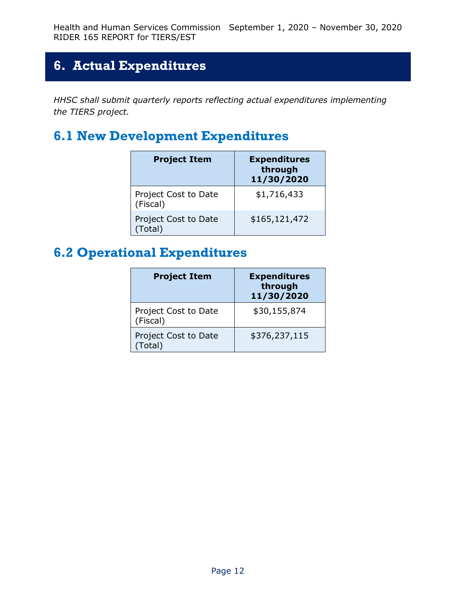### <span id="page-11-0"></span>**6. Actual Expenditures**

*HHSC shall submit quarterly reports reflecting actual expenditures implementing the TIERS project.*

### <span id="page-11-1"></span>**6.1 New Development Expenditures**

| <b>Project Item</b>              | <b>Expenditures</b><br>through<br>11/30/2020 |
|----------------------------------|----------------------------------------------|
| Project Cost to Date<br>(Fiscal) | \$1,716,433                                  |
| Project Cost to Date<br>(Total)  | \$165,121,472                                |

### <span id="page-11-2"></span>**6.2 Operational Expenditures**

| <b>Project Item</b>              | <b>Expenditures</b><br>through<br>11/30/2020 |
|----------------------------------|----------------------------------------------|
| Project Cost to Date<br>(Fiscal) | \$30,155,874                                 |
| Project Cost to Date<br>(Total)  | \$376,237,115                                |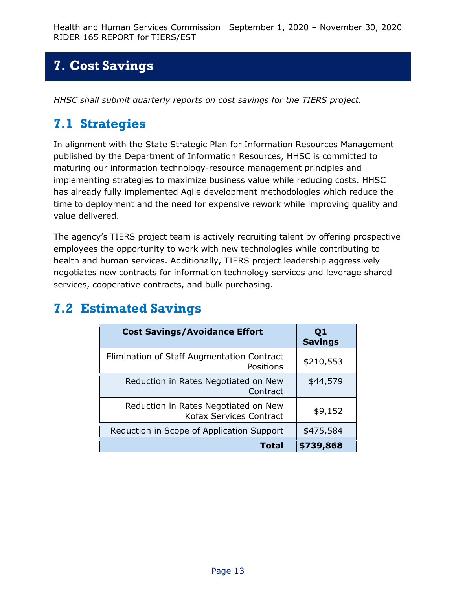### <span id="page-12-0"></span>**7. Cost Savings**

*HHSC shall submit quarterly reports on cost savings for the TIERS project.*

### <span id="page-12-1"></span>**7.1 Strategies**

In alignment with the State Strategic Plan for Information Resources Management published by the Department of Information Resources, HHSC is committed to maturing our information technology-resource management principles and implementing strategies to maximize business value while reducing costs. HHSC has already fully implemented Agile development methodologies which reduce the time to deployment and the need for expensive rework while improving quality and value delivered.

The agency's TIERS project team is actively recruiting talent by offering prospective employees the opportunity to work with new technologies while contributing to health and human services. Additionally, TIERS project leadership aggressively negotiates new contracts for information technology services and leverage shared services, cooperative contracts, and bulk purchasing.

| <b>Cost Savings/Avoidance Effort</b>                                   | Q <sub>1</sub><br><b>Savings</b> |
|------------------------------------------------------------------------|----------------------------------|
| Elimination of Staff Augmentation Contract<br>Positions                | \$210,553                        |
| Reduction in Rates Negotiated on New<br>Contract                       | \$44,579                         |
| Reduction in Rates Negotiated on New<br><b>Kofax Services Contract</b> | \$9,152                          |
| Reduction in Scope of Application Support                              | \$475,584                        |
| Total                                                                  | \$739,868                        |

### <span id="page-12-2"></span>**7.2 Estimated Savings**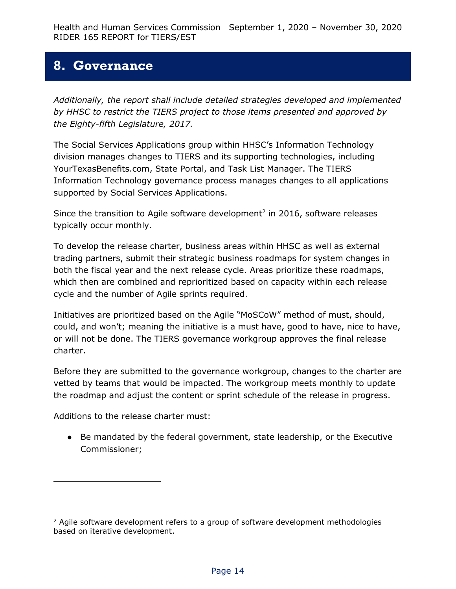#### <span id="page-13-0"></span>**8. Governance**

*Additionally, the report shall include detailed strategies developed and implemented by HHSC to restrict the TIERS project to those items presented and approved by the Eighty-fifth Legislature, 2017.*

The Social Services Applications group within HHSC's Information Technology division manages changes to TIERS and its supporting technologies, including YourTexasBenefits.com, State Portal, and Task List Manager. The TIERS Information Technology governance process manages changes to all applications supported by Social Services Applications.

Since the transition to Agile software development<sup>2</sup> in 2016, software releases typically occur monthly.

To develop the release charter, business areas within HHSC as well as external trading partners, submit their strategic business roadmaps for system changes in both the fiscal year and the next release cycle. Areas prioritize these roadmaps, which then are combined and reprioritized based on capacity within each release cycle and the number of Agile sprints required.

Initiatives are prioritized based on the Agile "MoSCoW" method of must, should, could, and won't; meaning the initiative is a must have, good to have, nice to have, or will not be done. The TIERS governance workgroup approves the final release charter.

Before they are submitted to the governance workgroup, changes to the charter are vetted by teams that would be impacted. The workgroup meets monthly to update the roadmap and adjust the content or sprint schedule of the release in progress.

Additions to the release charter must:

j

● Be mandated by the federal government, state leadership, or the Executive Commissioner;

<sup>&</sup>lt;sup>2</sup> Agile software development refers to a group of software development methodologies based on iterative development.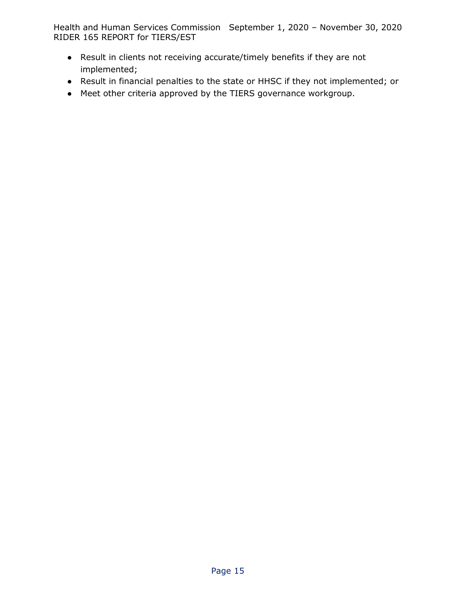- Result in clients not receiving accurate/timely benefits if they are not implemented;
- Result in financial penalties to the state or HHSC if they not implemented; or
- Meet other criteria approved by the TIERS governance workgroup.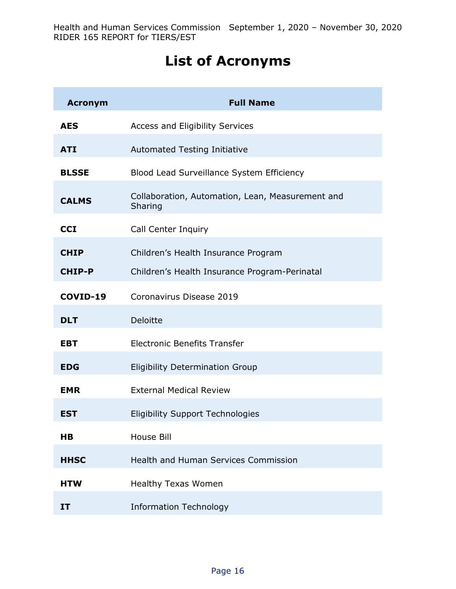# **List of Acronyms**

| <b>Acronym</b> | <b>Full Name</b>                                            |
|----------------|-------------------------------------------------------------|
| <b>AES</b>     | Access and Eligibility Services                             |
| <b>ATI</b>     | <b>Automated Testing Initiative</b>                         |
| <b>BLSSE</b>   | Blood Lead Surveillance System Efficiency                   |
| <b>CALMS</b>   | Collaboration, Automation, Lean, Measurement and<br>Sharing |
| <b>CCI</b>     | Call Center Inquiry                                         |
| <b>CHIP</b>    | Children's Health Insurance Program                         |
| <b>CHIP-P</b>  | Children's Health Insurance Program-Perinatal               |
| COVID-19       | Coronavirus Disease 2019                                    |
| <b>DLT</b>     | <b>Deloitte</b>                                             |
| <b>EBT</b>     | <b>Electronic Benefits Transfer</b>                         |
| <b>EDG</b>     | <b>Eligibility Determination Group</b>                      |
| <b>EMR</b>     | <b>External Medical Review</b>                              |
| <b>EST</b>     | <b>Eligibility Support Technologies</b>                     |
| H <sub>B</sub> | <b>House Bill</b>                                           |
| <b>HHSC</b>    | <b>Health and Human Services Commission</b>                 |
| <b>HTW</b>     | <b>Healthy Texas Women</b>                                  |
| IT             | <b>Information Technology</b>                               |